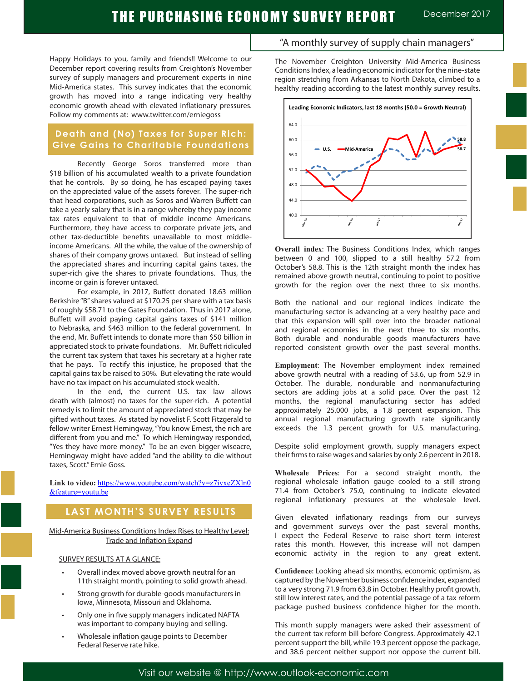Happy Holidays to you, family and friends!! Welcome to our December report covering results from Creighton's November survey of supply managers and procurement experts in nine Mid-America states. This survey indicates that the economic growth has moved into a range indicating very healthy economic growth ahead with elevated inflationary pressures. Follow my comments at: www.twitter.com/erniegoss

### **Death and (No) Taxes for Super Rich: Give Gains to Charitable Foundations**

Recently George Soros transferred more than \$18 billion of his accumulated wealth to a private foundation that he controls. By so doing, he has escaped paying taxes on the appreciated value of the assets forever. The super-rich that head corporations, such as Soros and Warren Buffett can take a yearly salary that is in a range whereby they pay income tax rates equivalent to that of middle income Americans. Furthermore, they have access to corporate private jets, and other tax-deductible benefits unavailable to most middleincome Americans. All the while, the value of the ownership of shares of their company grows untaxed. But instead of selling the appreciated shares and incurring capital gains taxes, the super-rich give the shares to private foundations. Thus, the income or gain is forever untaxed.

For example, in 2017, Buffett donated 18.63 million Berkshire "B" shares valued at \$170.25 per share with a tax basis of roughly \$58.71 to the Gates Foundation. Thus in 2017 alone, Buffett will avoid paying capital gains taxes of \$141 million to Nebraska, and \$463 million to the federal government. In the end, Mr. Buffett intends to donate more than \$50 billion in appreciated stock to private foundations. Mr. Buffett ridiculed the current tax system that taxes his secretary at a higher rate that he pays. To rectify this injustice, he proposed that the capital gains tax be raised to 50%. But elevating the rate would have no tax impact on his accumulated stock wealth.

In the end, the current U.S. tax law allows death with (almost) no taxes for the super-rich. A potential remedy is to limit the amount of appreciated stock that may be gifted without taxes. As stated by novelist F. Scott Fitzgerald to fellow writer Ernest Hemingway, "You know Ernest, the rich are different from you and me." To which Hemingway responded, "Yes they have more money." To be an even bigger wiseacre, Hemingway might have added "and the ability to die without taxes, Scott." Ernie Goss.

Link to video: https://www.youtube.com/watch?v=z7ivxeZXln0 &feature=youtu.be

# **LAST MONTH'S SURVEY RESULTS**

Mid-America Business Conditions Index Rises to Healthy Level: Trade and Inflation Expand

### SURVEY RESULTS AT A GLANCE:

- Overall index moved above growth neutral for an 11th straight month, pointing to solid growth ahead.
- Strong growth for durable-goods manufacturers in Iowa, Minnesota, Missouri and Oklahoma.
- Only one in five supply managers indicated NAFTA was important to company buying and selling.
- Wholesale inflation gauge points to December Federal Reserve rate hike.

### "A monthly survey of supply chain managers"

The November Creighton University Mid-America Business Conditions Index, a leading economic indicator for the nine-state region stretching from Arkansas to North Dakota, climbed to a healthy reading according to the latest monthly survey results.



**Overall index**: The Business Conditions Index, which ranges between 0 and 100, slipped to a still healthy 57.2 from October's 58.8. This is the 12th straight month the index has remained above growth neutral, continuing to point to positive growth for the region over the next three to six months.

Both the national and our regional indices indicate the manufacturing sector is advancing at a very healthy pace and that this expansion will spill over into the broader national and regional economies in the next three to six months. Both durable and nondurable goods manufacturers have reported consistent growth over the past several months.

**Employment**: The November employment index remained above growth neutral with a reading of 53.6, up from 52.9 in October. The durable, nondurable and nonmanufacturing sectors are adding jobs at a solid pace. Over the past 12 months, the regional manufacturing sector has added approximately 25,000 jobs, a 1.8 percent expansion. This annual regional manufacturing growth rate significantly exceeds the 1.3 percent growth for U.S. manufacturing.

Despite solid employment growth, supply managers expect their firms to raise wages and salaries by only 2.6 percent in 2018.

**Wholesale Prices**: For a second straight month, the regional wholesale inflation gauge cooled to a still strong 71.4 from October's 75.0, continuing to indicate elevated regional inflationary pressures at the wholesale level.

Given elevated inflationary readings from our surveys and government surveys over the past several months, I expect the Federal Reserve to raise short term interest rates this month. However, this increase will not dampen economic activity in the region to any great extent.

**Confidence**: Looking ahead six months, economic optimism, as captured by the November business confidence index, expanded to a very strong 71.9 from 63.8 in October. Healthy profit growth, still low interest rates, and the potential passage of a tax reform package pushed business confidence higher for the month.

This month supply managers were asked their assessment of the current tax reform bill before Congress. Approximately 42.1 percent support the bill, while 19.3 percent oppose the package, and 38.6 percent neither support nor oppose the current bill.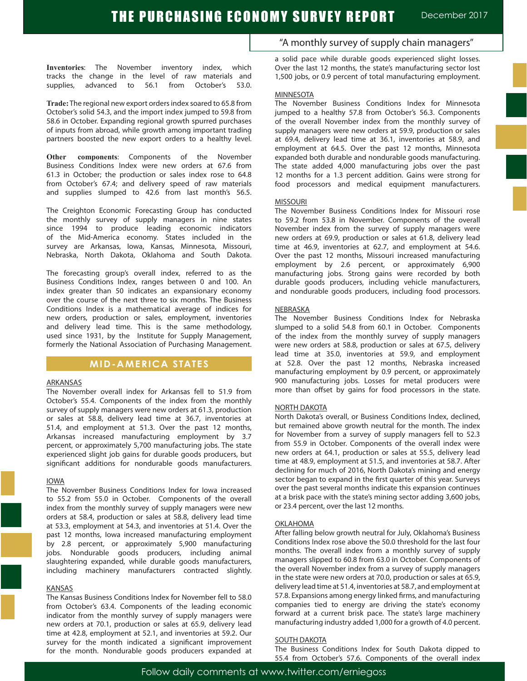**Inventories**: The November inventory index, which tracks the change in the level of raw materials and supplies, advanced to 56.1 from October's 53.0.

**Trade:** The regional new export orders index soared to 65.8 from October's solid 54.3, and the import index jumped to 59.8 from 58.6 in October. Expanding regional growth spurred purchases of inputs from abroad, while growth among important trading partners boosted the new export orders to a healthy level.

**Other components**: Components of the November Business Conditions Index were new orders at 67.6 from 61.3 in October; the production or sales index rose to 64.8 from October's 67.4; and delivery speed of raw materials and supplies slumped to 42.6 from last month's 56.5.

The Creighton Economic Forecasting Group has conducted the monthly survey of supply managers in nine states since 1994 to produce leading economic indicators of the Mid-America economy. States included in the survey are Arkansas, Iowa, Kansas, Minnesota, Missouri, Nebraska, North Dakota, Oklahoma and South Dakota.

The forecasting group's overall index, referred to as the Business Conditions Index, ranges between 0 and 100. An index greater than 50 indicates an expansionary economy over the course of the next three to six months. The Business Conditions Index is a mathematical average of indices for new orders, production or sales, employment, inventories and delivery lead time. This is the same methodology, used since 1931, by the Institute for Supply Management, formerly the National Association of Purchasing Management.

### **MID-AMERICA STATES**

### ARKANSAS

The November overall index for Arkansas fell to 51.9 from October's 55.4. Components of the index from the monthly survey of supply managers were new orders at 61.3, production or sales at 58.8, delivery lead time at 36.7, inventories at 51.4, and employment at 51.3. Over the past 12 months, Arkansas increased manufacturing employment by 3.7 percent, or approximately 5,700 manufacturing jobs. The state experienced slight job gains for durable goods producers, but significant additions for nondurable goods manufacturers.

#### IOWA

The November Business Conditions Index for Iowa increased to 55.2 from 55.0 in October. Components of the overall index from the monthly survey of supply managers were new orders at 58.4, production or sales at 58.8, delivery lead time at 53.3, employment at 54.3, and inventories at 51.4. Over the past 12 months, Iowa increased manufacturing employment by 2.8 percent, or approximately 5,900 manufacturing jobs. Nondurable goods producers, including animal slaughtering expanded, while durable goods manufacturers, including machinery manufacturers contracted slightly.

#### KANSAS

The Kansas Business Conditions Index for November fell to 58.0 from October's 63.4. Components of the leading economic indicator from the monthly survey of supply managers were new orders at 70.1, production or sales at 65.9, delivery lead time at 42.8, employment at 52.1, and inventories at 59.2. Our survey for the month indicated a significant improvement for the month. Nondurable goods producers expanded at "A monthly survey of supply chain managers"

a solid pace while durable goods experienced slight losses. Over the last 12 months, the state's manufacturing sector lost 1,500 jobs, or 0.9 percent of total manufacturing employment.

#### **MINNESOTA**

The November Business Conditions Index for Minnesota jumped to a healthy 57.8 from October's 56.3. Components of the overall November index from the monthly survey of supply managers were new orders at 59.9, production or sales at 69.4, delivery lead time at 36.1, inventories at 58.9, and employment at 64.5. Over the past 12 months, Minnesota expanded both durable and nondurable goods manufacturing. The state added 4,000 manufacturing jobs over the past 12 months for a 1.3 percent addition. Gains were strong for food processors and medical equipment manufacturers.

#### MISSOURI

The November Business Conditions Index for Missouri rose to 59.2 from 53.8 in November. Components of the overall November index from the survey of supply managers were new orders at 69.9, production or sales at 61.8, delivery lead time at 46.9, inventories at 62.7, and employment at 54.6. Over the past 12 months, Missouri increased manufacturing employment by 2.6 percent, or approximately 6,900 manufacturing jobs. Strong gains were recorded by both durable goods producers, including vehicle manufacturers, and nondurable goods producers, including food processors.

#### NEBRASKA

The November Business Conditions Index for Nebraska slumped to a solid 54.8 from 60.1 in October. Components of the index from the monthly survey of supply managers were new orders at 58.8, production or sales at 67.5, delivery lead time at 35.0, inventories at 59.9, and employment at 52.8. Over the past 12 months, Nebraska increased manufacturing employment by 0.9 percent, or approximately 900 manufacturing jobs. Losses for metal producers were more than offset by gains for food processors in the state.

#### NORTH DAKOTA

North Dakota's overall, or Business Conditions Index, declined, but remained above growth neutral for the month. The index for November from a survey of supply managers fell to 52.3 from 55.9 in October. Components of the overall index were new orders at 64.1, production or sales at 55.5, delivery lead time at 48.9, employment at 51.5, and inventories at 58.7. After declining for much of 2016, North Dakota's mining and energy sector began to expand in the first quarter of this year. Surveys over the past several months indicate this expansion continues at a brisk pace with the state's mining sector adding 3,600 jobs, or 23.4 percent, over the last 12 months.

#### OKLAHOMA

After falling below growth neutral for July, Oklahoma's Business Conditions Index rose above the 50.0 threshold for the last four months. The overall index from a monthly survey of supply managers slipped to 60.8 from 63.0 in October. Components of the overall November index from a survey of supply managers in the state were new orders at 70.0, production or sales at 65.9, delivery lead time at 51.4, inventories at 58.7, and employment at 57.8. Expansions among energy linked firms, and manufacturing companies tied to energy are driving the state's economy forward at a current brisk pace. The state's large machinery manufacturing industry added 1,000 for a growth of 4.0 percent.

#### SOUTH DAKOTA

The Business Conditions Index for South Dakota dipped to 55.4 from October's 57.6. Components of the overall index

Follow daily comments at www.twitter.com/erniegoss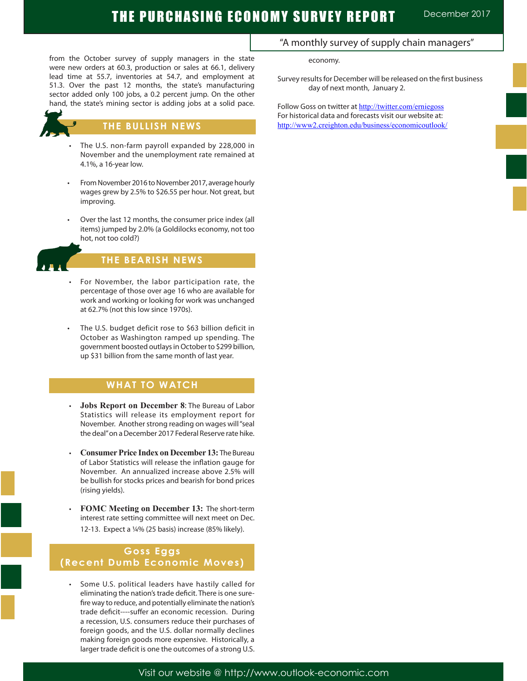# THE PURCHASING ECONOMY SURVEY REPORT December 2017

from the October survey of supply managers in the state were new orders at 60.3, production or sales at 66.1, delivery lead time at 55.7, inventories at 54.7, and employment at 51.3. Over the past 12 months, the state's manufacturing sector added only 100 jobs, a 0.2 percent jump. On the other hand, the state's mining sector is adding jobs at a solid pace.



### **THE BULLISH NEWS**

- The U.S. non-farm payroll expanded by 228,000 in November and the unemployment rate remained at 4.1%, a 16-year low.
- From November 2016 to November 2017, average hourly wages grew by 2.5% to \$26.55 per hour. Not great, but improving.
- Over the last 12 months, the consumer price index (all items) jumped by 2.0% (a Goldilocks economy, not too hot, not too cold?)



Ĩ

# **THE BEARISH NEWS**

- For November, the labor participation rate, the percentage of those over age 16 who are available for work and working or looking for work was unchanged at 62.7% (not this low since 1970s).
- The U.S. budget deficit rose to \$63 billion deficit in October as Washington ramped up spending. The government boosted outlays in October to \$299 billion, up \$31 billion from the same month of last year.

### **WHAT TO WATCH**

- **Jobs Report on December 8: The Bureau of Labor** Statistics will release its employment report for November. Another strong reading on wages will "seal the deal" on a December 2017 Federal Reserve rate hike.
- **Consumer Price Index on December 13: The Bureau** of Labor Statistics will release the inflation gauge for November. An annualized increase above 2.5% will be bullish for stocks prices and bearish for bond prices (rising yields).
- **FOMC Meeting on December 13: The short-term** interest rate setting committee will next meet on Dec. 12-13. Expect a ¼% (25 basis) increase (85% likely).

## **Goss Eggs (Recent Dumb Economic Moves)**

Some U.S. political leaders have hastily called for eliminating the nation's trade deficit. There is one surefire way to reduce, and potentially eliminate the nation's trade deficit----suffer an economic recession. During a recession, U.S. consumers reduce their purchases of foreign goods, and the U.S. dollar normally declines making foreign goods more expensive. Historically, a larger trade deficit is one the outcomes of a strong U.S.

### "A monthly survey of supply chain managers"

economy.

Survey results for December will be released on the first business day of next month, January 2.

Follow Goss on twitter at http://twitter.com/erniegoss For historical data and forecasts visit our website at: http://www2.creighton.edu/business/economicoutlook/